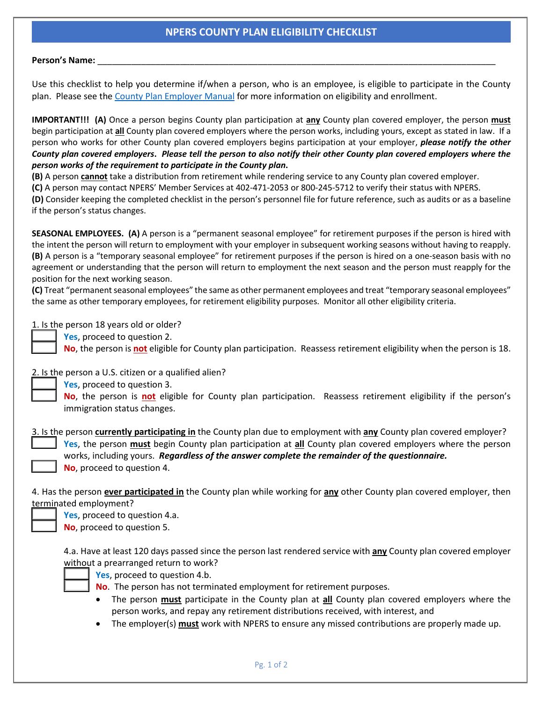## **NPERS COUNTY PLAN ELIGIBILITY CHECKLIST**

## **Person's Name:** \_\_\_\_\_\_\_\_\_\_\_\_\_\_\_\_\_\_\_\_\_\_\_\_\_\_\_\_\_\_\_\_\_\_\_\_\_\_\_\_\_\_\_\_\_\_\_\_\_\_\_\_\_\_\_\_\_\_\_\_\_\_\_\_\_\_\_\_\_\_\_\_\_\_\_\_\_\_\_\_\_\_

Use this checklist to help you determine if/when a person, who is an employee, is eligible to participate in the County plan. Please see th[e County Plan Employer Manual](https://npers.ne.gov/SelfService/public/documentation/employerReporting/county/CountyManual.pdf) for more information on eligibility and enrollment.

**IMPORTANT!!! (A)** Once a person begins County plan participation at **any** County plan covered employer, the person **must** begin participation at **all** County plan covered employers where the person works, including yours, except as stated in law. If a person who works for other County plan covered employers begins participation at your employer, *please notify the other County plan covered employers***.** *Please tell the person to also notify their other County plan covered employers where the person works of the requirement to participate in the County plan***.**

**(B)** A person **cannot** take a distribution from retirement while rendering service to any County plan covered employer.

**(C)** A person may contact NPERS' Member Services at 402-471-2053 or 800-245-5712 to verify their status with NPERS.

**(D)** Consider keeping the completed checklist in the person's personnel file for future reference, such as audits or as a baseline if the person's status changes.

**SEASONAL EMPLOYEES. (A)** A person is a "permanent seasonal employee" for retirement purposes if the person is hired with the intent the person will return to employment with your employer in subsequent working seasons without having to reapply. **(B)** A person is a "temporary seasonal employee" for retirement purposes if the person is hired on a one-season basis with no agreement or understanding that the person will return to employment the next season and the person must reapply for the position for the next working season.

**(C)** Treat "permanent seasonal employees" the same as other permanent employees and treat "temporary seasonal employees" the same as other temporary employees, for retirement eligibility purposes. Monitor all other eligibility criteria.

1. Is the person 18 years old or older?

\_\_\_\_\_ **Yes**, proceed to question 2.

\_\_\_\_\_ **No**, the person is **not** eligible for County plan participation. Reassess retirement eligibility when the person is 18.

2. Is the person a U.S. citizen or a qualified alien?

\_\_\_\_\_ **Yes**, proceed to question 3.

\_\_\_\_\_ **No**, the person is **not** eligible for County plan participation. Reassess retirement eligibility if the person's immigration status changes.

3. Is the person **currently participating in** the County plan due to employment with **any** County plan covered employer? \_\_\_\_\_ **Yes**, the person **must** begin County plan participation at **all** County plan covered employers where the person works, including yours. *Regardless of the answer complete the remainder of the questionnaire.* \_\_\_\_\_ **No**, proceed to question 4.

4. Has the person **ever participated in** the County plan while working for **any** other County plan covered employer, then terminated employment?

Yes, proceed to question 4.a.

\_\_\_\_\_ **No**, proceed to question 5.

4.a. Have at least 120 days passed since the person last rendered service with **any** County plan covered employer without a prearranged return to work?



Yes, proceed to question 4.b.

- No. The person has not terminated employment for retirement purposes.
- The person **must** participate in the County plan at **all** County plan covered employers where the person works, and repay any retirement distributions received, with interest, and
- The employer(s) **must** work with NPERS to ensure any missed contributions are properly made up.